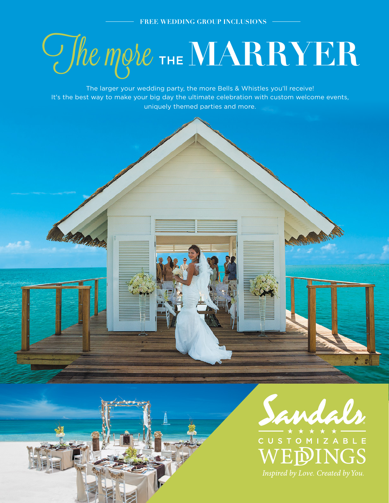# $C$ *fhe more* The MARRYER

The larger your wedding party, the more Bells & Whistles you'll receive! It's the best way to make your big day the ultimate celebration with custom welcome events, uniquely themed parties and more.